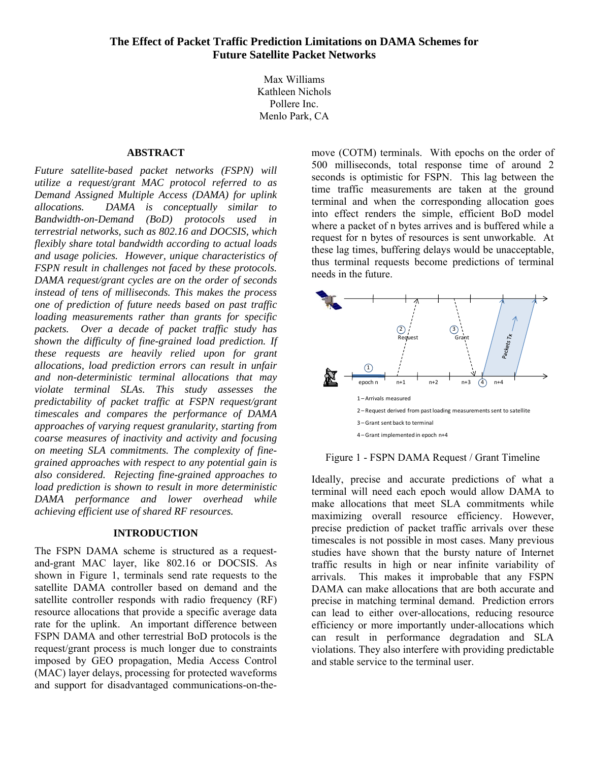Max Williams Kathleen Nichols Pollere Inc. Menlo Park, CA

#### **ABSTRACT**

*Future satellite-based packet networks (FSPN) will utilize a request/grant MAC protocol referred to as Demand Assigned Multiple Access (DAMA) for uplink allocations. DAMA is conceptually similar to Bandwidth-on-Demand (BoD) protocols used in terrestrial networks, such as 802.16 and DOCSIS, which flexibly share total bandwidth according to actual loads and usage policies. However, unique characteristics of FSPN result in challenges not faced by these protocols. DAMA request/grant cycles are on the order of seconds instead of tens of milliseconds. This makes the process one of prediction of future needs based on past traffic loading measurements rather than grants for specific packets. Over a decade of packet traffic study has shown the difficulty of fine-grained load prediction. If these requests are heavily relied upon for grant allocations, load prediction errors can result in unfair and non-deterministic terminal allocations that may violate terminal SLAs. This study assesses the predictability of packet traffic at FSPN request/grant timescales and compares the performance of DAMA approaches of varying request granularity, starting from coarse measures of inactivity and activity and focusing on meeting SLA commitments. The complexity of finegrained approaches with respect to any potential gain is also considered. Rejecting fine-grained approaches to load prediction is shown to result in more deterministic DAMA performance and lower overhead while achieving efficient use of shared RF resources.* 

#### **INTRODUCTION**

The FSPN DAMA scheme is structured as a requestand-grant MAC layer, like 802.16 or DOCSIS. As shown in Figure 1, terminals send rate requests to the satellite DAMA controller based on demand and the satellite controller responds with radio frequency (RF) resource allocations that provide a specific average data rate for the uplink. An important difference between FSPN DAMA and other terrestrial BoD protocols is the request/grant process is much longer due to constraints imposed by GEO propagation, Media Access Control (MAC) layer delays, processing for protected waveforms and support for disadvantaged communications-on-themove (COTM) terminals. With epochs on the order of 500 milliseconds, total response time of around 2 seconds is optimistic for FSPN. This lag between the time traffic measurements are taken at the ground terminal and when the corresponding allocation goes into effect renders the simple, efficient BoD model where a packet of n bytes arrives and is buffered while a request for n bytes of resources is sent unworkable. At these lag times, buffering delays would be unacceptable, thus terminal requests become predictions of terminal needs in the future.



Figure 1 - FSPN DAMA Request / Grant Timeline

Ideally, precise and accurate predictions of what a terminal will need each epoch would allow DAMA to make allocations that meet SLA commitments while maximizing overall resource efficiency. However, precise prediction of packet traffic arrivals over these timescales is not possible in most cases. Many previous studies have shown that the bursty nature of Internet traffic results in high or near infinite variability of arrivals. This makes it improbable that any FSPN DAMA can make allocations that are both accurate and precise in matching terminal demand. Prediction errors can lead to either over-allocations, reducing resource efficiency or more importantly under-allocations which can result in performance degradation and SLA violations. They also interfere with providing predictable and stable service to the terminal user.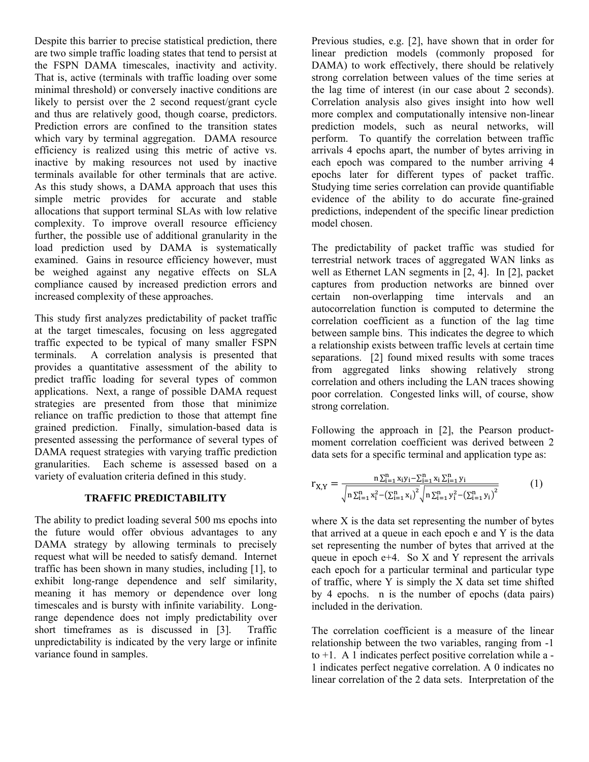Despite this barrier to precise statistical prediction, there are two simple traffic loading states that tend to persist at the FSPN DAMA timescales, inactivity and activity. That is, active (terminals with traffic loading over some minimal threshold) or conversely inactive conditions are likely to persist over the 2 second request/grant cycle and thus are relatively good, though coarse, predictors. Prediction errors are confined to the transition states which vary by terminal aggregation. DAMA resource efficiency is realized using this metric of active vs. inactive by making resources not used by inactive terminals available for other terminals that are active. As this study shows, a DAMA approach that uses this simple metric provides for accurate and stable allocations that support terminal SLAs with low relative complexity. To improve overall resource efficiency further, the possible use of additional granularity in the load prediction used by DAMA is systematically examined. Gains in resource efficiency however, must be weighed against any negative effects on SLA compliance caused by increased prediction errors and increased complexity of these approaches.

This study first analyzes predictability of packet traffic at the target timescales, focusing on less aggregated traffic expected to be typical of many smaller FSPN terminals. A correlation analysis is presented that provides a quantitative assessment of the ability to predict traffic loading for several types of common applications. Next, a range of possible DAMA request strategies are presented from those that minimize reliance on traffic prediction to those that attempt fine grained prediction. Finally, simulation-based data is presented assessing the performance of several types of DAMA request strategies with varying traffic prediction granularities. Each scheme is assessed based on a variety of evaluation criteria defined in this study.

### **TRAFFIC PREDICTABILITY**

The ability to predict loading several 500 ms epochs into the future would offer obvious advantages to any DAMA strategy by allowing terminals to precisely request what will be needed to satisfy demand. Internet traffic has been shown in many studies, including [1], to exhibit long-range dependence and self similarity, meaning it has memory or dependence over long timescales and is bursty with infinite variability. Longrange dependence does not imply predictability over short timeframes as is discussed in [3]. Traffic unpredictability is indicated by the very large or infinite variance found in samples.

Previous studies, e.g. [2], have shown that in order for linear prediction models (commonly proposed for DAMA) to work effectively, there should be relatively strong correlation between values of the time series at the lag time of interest (in our case about 2 seconds). Correlation analysis also gives insight into how well more complex and computationally intensive non-linear prediction models, such as neural networks, will perform. To quantify the correlation between traffic arrivals 4 epochs apart, the number of bytes arriving in each epoch was compared to the number arriving 4 epochs later for different types of packet traffic. Studying time series correlation can provide quantifiable evidence of the ability to do accurate fine-grained predictions, independent of the specific linear prediction model chosen.

The predictability of packet traffic was studied for terrestrial network traces of aggregated WAN links as well as Ethernet LAN segments in [2, 4]. In [2], packet captures from production networks are binned over certain non-overlapping time intervals and an autocorrelation function is computed to determine the correlation coefficient as a function of the lag time between sample bins. This indicates the degree to which a relationship exists between traffic levels at certain time separations. [2] found mixed results with some traces from aggregated links showing relatively strong correlation and others including the LAN traces showing poor correlation. Congested links will, of course, show strong correlation.

Following the approach in [2], the Pearson productmoment correlation coefficient was derived between 2 data sets for a specific terminal and application type as:

$$
r_{X,Y} = \frac{n \sum_{i=1}^{n} x_i y_i - \sum_{i=1}^{n} x_i \sum_{i=1}^{n} y_i}{\sqrt{n \sum_{i=1}^{n} x_i^2 - (\sum_{i=1}^{n} x_i)^2} \sqrt{n \sum_{i=1}^{n} y_i^2 - (\sum_{i=1}^{n} y_i)^2}}
$$
(1)

where X is the data set representing the number of bytes that arrived at a queue in each epoch e and Y is the data set representing the number of bytes that arrived at the queue in epoch  $e+4$ . So X and Y represent the arrivals each epoch for a particular terminal and particular type of traffic, where Y is simply the X data set time shifted by 4 epochs. n is the number of epochs (data pairs) included in the derivation.

The correlation coefficient is a measure of the linear relationship between the two variables, ranging from -1 to +1. A 1 indicates perfect positive correlation while a - 1 indicates perfect negative correlation. A 0 indicates no linear correlation of the 2 data sets. Interpretation of the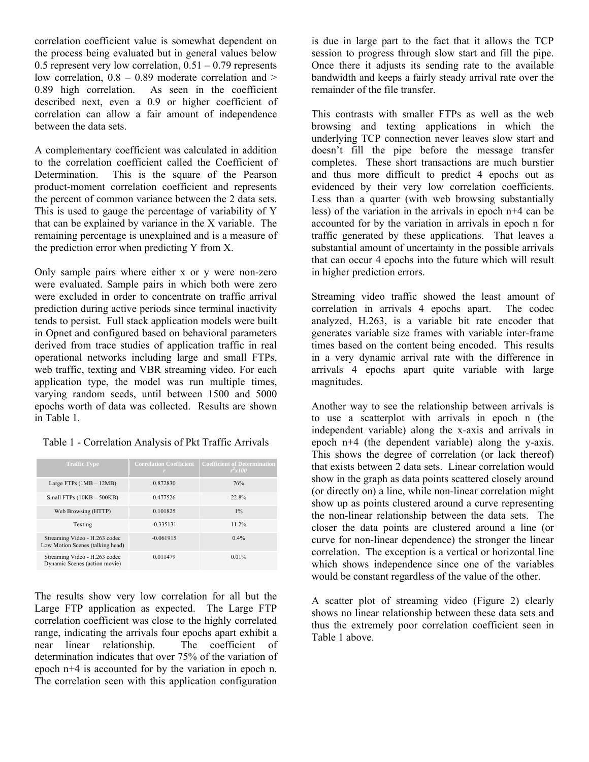correlation coefficient value is somewhat dependent on the process being evaluated but in general values below 0.5 represent very low correlation,  $0.51 - 0.79$  represents low correlation,  $0.8 - 0.89$  moderate correlation and  $>$ 0.89 high correlation. As seen in the coefficient described next, even a 0.9 or higher coefficient of correlation can allow a fair amount of independence between the data sets.

A complementary coefficient was calculated in addition to the correlation coefficient called the Coefficient of Determination. This is the square of the Pearson product-moment correlation coefficient and represents the percent of common variance between the 2 data sets. This is used to gauge the percentage of variability of Y that can be explained by variance in the X variable. The remaining percentage is unexplained and is a measure of the prediction error when predicting Y from X.

Only sample pairs where either x or y were non-zero were evaluated. Sample pairs in which both were zero were excluded in order to concentrate on traffic arrival prediction during active periods since terminal inactivity tends to persist. Full stack application models were built in Opnet and configured based on behavioral parameters derived from trace studies of application traffic in real operational networks including large and small FTPs, web traffic, texting and VBR streaming video. For each application type, the model was run multiple times, varying random seeds, until between 1500 and 5000 epochs worth of data was collected. Results are shown in Table 1.

| Table 1 - Correlation Analysis of Pkt Traffic Arrivals |  |  |
|--------------------------------------------------------|--|--|
|                                                        |  |  |

| <b>Traffic Type</b>                                               | <b>Correlation Coefficient</b><br>$\mathcal{F}$ | <b>Coefficient of Determination</b><br>$r^2x100$ |
|-------------------------------------------------------------------|-------------------------------------------------|--------------------------------------------------|
| Large FTPs $(1MB - 12MB)$                                         | 0.872830                                        | 76%                                              |
| Small FTPs $(10KB - 500KB)$                                       | 0477526                                         | 22.8%                                            |
| Web Browsing (HTTP)                                               | 0.101825                                        | $1\%$                                            |
| Texting                                                           | $-0.335131$                                     | 11.2%                                            |
| Streaming Video - H.263 codec<br>Low Motion Scenes (talking head) | $-0.061915$                                     | $0.4\%$                                          |
| Streaming Video - H.263 codec<br>Dynamic Scenes (action movie)    | 0.011479                                        | 0.01%                                            |

The results show very low correlation for all but the Large FTP application as expected. The Large FTP correlation coefficient was close to the highly correlated range, indicating the arrivals four epochs apart exhibit a near linear relationship. The coefficient of determination indicates that over 75% of the variation of epoch n+4 is accounted for by the variation in epoch n. The correlation seen with this application configuration

is due in large part to the fact that it allows the TCP session to progress through slow start and fill the pipe. Once there it adjusts its sending rate to the available bandwidth and keeps a fairly steady arrival rate over the remainder of the file transfer.

This contrasts with smaller FTPs as well as the web browsing and texting applications in which the underlying TCP connection never leaves slow start and doesn't fill the pipe before the message transfer completes. These short transactions are much burstier and thus more difficult to predict 4 epochs out as evidenced by their very low correlation coefficients. Less than a quarter (with web browsing substantially less) of the variation in the arrivals in epoch n+4 can be accounted for by the variation in arrivals in epoch n for traffic generated by these applications. That leaves a substantial amount of uncertainty in the possible arrivals that can occur 4 epochs into the future which will result in higher prediction errors.

Streaming video traffic showed the least amount of correlation in arrivals 4 epochs apart. The codec analyzed, H.263, is a variable bit rate encoder that generates variable size frames with variable inter-frame times based on the content being encoded. This results in a very dynamic arrival rate with the difference in arrivals 4 epochs apart quite variable with large magnitudes.

Another way to see the relationship between arrivals is to use a scatterplot with arrivals in epoch n (the independent variable) along the x-axis and arrivals in epoch n+4 (the dependent variable) along the y-axis. This shows the degree of correlation (or lack thereof) that exists between 2 data sets. Linear correlation would show in the graph as data points scattered closely around (or directly on) a line, while non-linear correlation might show up as points clustered around a curve representing the non-linear relationship between the data sets. The closer the data points are clustered around a line (or curve for non-linear dependence) the stronger the linear correlation. The exception is a vertical or horizontal line which shows independence since one of the variables would be constant regardless of the value of the other.

A scatter plot of streaming video (Figure 2) clearly shows no linear relationship between these data sets and thus the extremely poor correlation coefficient seen in Table 1 above.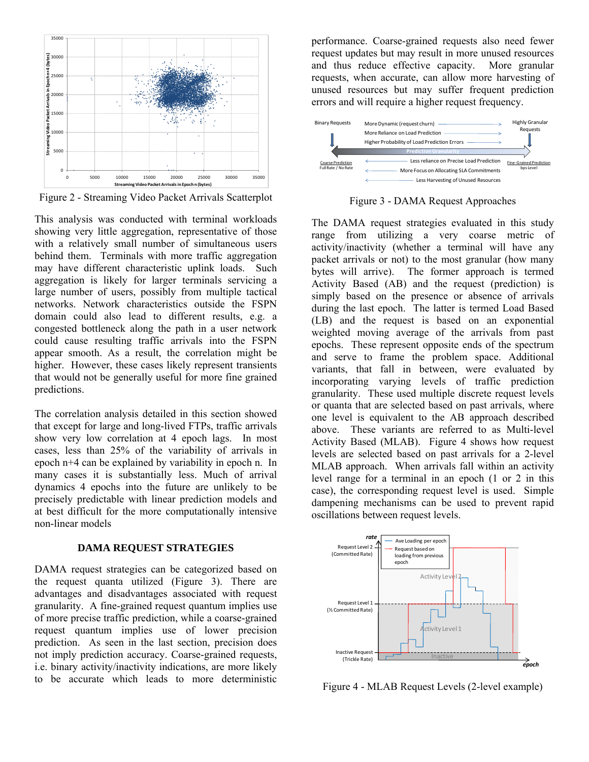

Figure 2 - Streaming Video Packet Arrivals Scatterplot

This analysis was conducted with terminal workloads showing very little aggregation, representative of those with a relatively small number of simultaneous users behind them. Terminals with more traffic aggregation may have different characteristic uplink loads. Such aggregation is likely for larger terminals servicing a large number of users, possibly from multiple tactical networks. Network characteristics outside the FSPN domain could also lead to different results, e.g. a congested bottleneck along the path in a user network could cause resulting traffic arrivals into the FSPN appear smooth. As a result, the correlation might be higher. However, these cases likely represent transients that would not be generally useful for more fine grained predictions.

The correlation analysis detailed in this section showed that except for large and long-lived FTPs, traffic arrivals show very low correlation at 4 epoch lags. In most cases, less than 25% of the variability of arrivals in epoch n+4 can be explained by variability in epoch n. In many cases it is substantially less. Much of arrival dynamics 4 epochs into the future are unlikely to be precisely predictable with linear prediction models and at best difficult for the more computationally intensive non-linear models

# **DAMA REQUEST STRATEGIES**

DAMA request strategies can be categorized based on the request quanta utilized (Figure 3). There are advantages and disadvantages associated with request granularity. A fine-grained request quantum implies use of more precise traffic prediction, while a coarse-grained request quantum implies use of lower precision prediction. As seen in the last section, precision does not imply prediction accuracy. Coarse-grained requests, i.e. binary activity/inactivity indications, are more likely to be accurate which leads to more deterministic

performance. Coarse-grained requests also need fewer request updates but may result in more unused resources and thus reduce effective capacity. More granular requests, when accurate, can allow more harvesting of unused resources but may suffer frequent prediction errors and will require a higher request frequency.



Figure 3 - DAMA Request Approaches

The DAMA request strategies evaluated in this study range from utilizing a very coarse metric of activity/inactivity (whether a terminal will have any packet arrivals or not) to the most granular (how many bytes will arrive). The former approach is termed Activity Based (AB) and the request (prediction) is simply based on the presence or absence of arrivals during the last epoch. The latter is termed Load Based (LB) and the request is based on an exponential weighted moving average of the arrivals from past epochs. These represent opposite ends of the spectrum and serve to frame the problem space. Additional variants, that fall in between, were evaluated by incorporating varying levels of traffic prediction granularity. These used multiple discrete request levels or quanta that are selected based on past arrivals, where one level is equivalent to the AB approach described above. These variants are referred to as Multi-level Activity Based (MLAB). Figure 4 shows how request levels are selected based on past arrivals for a 2-level MLAB approach. When arrivals fall within an activity level range for a terminal in an epoch (1 or 2 in this case), the corresponding request level is used. Simple dampening mechanisms can be used to prevent rapid oscillations between request levels.



Figure 4 - MLAB Request Levels (2-level example)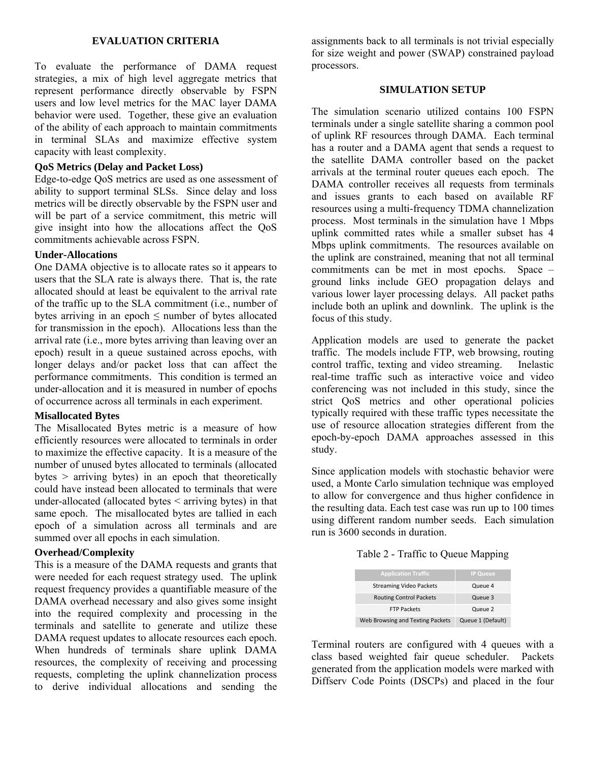## **EVALUATION CRITERIA**

To evaluate the performance of DAMA request strategies, a mix of high level aggregate metrics that represent performance directly observable by FSPN users and low level metrics for the MAC layer DAMA behavior were used. Together, these give an evaluation of the ability of each approach to maintain commitments in terminal SLAs and maximize effective system capacity with least complexity.

## **QoS Metrics (Delay and Packet Loss)**

Edge-to-edge QoS metrics are used as one assessment of ability to support terminal SLSs. Since delay and loss metrics will be directly observable by the FSPN user and will be part of a service commitment, this metric will give insight into how the allocations affect the QoS commitments achievable across FSPN.

## **Under-Allocations**

One DAMA objective is to allocate rates so it appears to users that the SLA rate is always there. That is, the rate allocated should at least be equivalent to the arrival rate of the traffic up to the SLA commitment (i.e., number of bytes arriving in an epoch  $\leq$  number of bytes allocated for transmission in the epoch). Allocations less than the arrival rate (i.e., more bytes arriving than leaving over an epoch) result in a queue sustained across epochs, with longer delays and/or packet loss that can affect the performance commitments. This condition is termed an under-allocation and it is measured in number of epochs of occurrence across all terminals in each experiment.

### **Misallocated Bytes**

The Misallocated Bytes metric is a measure of how efficiently resources were allocated to terminals in order to maximize the effective capacity. It is a measure of the number of unused bytes allocated to terminals (allocated bytes  $>$  arriving bytes) in an epoch that theoretically could have instead been allocated to terminals that were under-allocated (allocated bytes < arriving bytes) in that same epoch. The misallocated bytes are tallied in each epoch of a simulation across all terminals and are summed over all epochs in each simulation.

# **Overhead/Complexity**

This is a measure of the DAMA requests and grants that were needed for each request strategy used. The uplink request frequency provides a quantifiable measure of the DAMA overhead necessary and also gives some insight into the required complexity and processing in the terminals and satellite to generate and utilize these DAMA request updates to allocate resources each epoch. When hundreds of terminals share uplink DAMA resources, the complexity of receiving and processing requests, completing the uplink channelization process to derive individual allocations and sending the

assignments back to all terminals is not trivial especially for size weight and power (SWAP) constrained payload processors.

## **SIMULATION SETUP**

The simulation scenario utilized contains 100 FSPN terminals under a single satellite sharing a common pool of uplink RF resources through DAMA. Each terminal has a router and a DAMA agent that sends a request to the satellite DAMA controller based on the packet arrivals at the terminal router queues each epoch. The DAMA controller receives all requests from terminals and issues grants to each based on available RF resources using a multi-frequency TDMA channelization process. Most terminals in the simulation have 1 Mbps uplink committed rates while a smaller subset has 4 Mbps uplink commitments. The resources available on the uplink are constrained, meaning that not all terminal commitments can be met in most epochs. Space – ground links include GEO propagation delays and various lower layer processing delays. All packet paths include both an uplink and downlink. The uplink is the focus of this study.

Application models are used to generate the packet traffic. The models include FTP, web browsing, routing control traffic, texting and video streaming. Inelastic real-time traffic such as interactive voice and video conferencing was not included in this study, since the strict QoS metrics and other operational policies typically required with these traffic types necessitate the use of resource allocation strategies different from the epoch-by-epoch DAMA approaches assessed in this study.

Since application models with stochastic behavior were used, a Monte Carlo simulation technique was employed to allow for convergence and thus higher confidence in the resulting data. Each test case was run up to 100 times using different random number seeds. Each simulation run is 3600 seconds in duration.

### Table 2 - Traffic to Queue Mapping

| <b>Application Traffic</b>       | <b>IP Queue</b>   |
|----------------------------------|-------------------|
| <b>Streaming Video Packets</b>   | Queue 4           |
| <b>Routing Control Packets</b>   | Queue 3           |
| <b>FTP Packets</b>               | Queue 2           |
| Web Browsing and Texting Packets | Queue 1 (Default) |

Terminal routers are configured with 4 queues with a class based weighted fair queue scheduler. Packets generated from the application models were marked with Diffserv Code Points (DSCPs) and placed in the four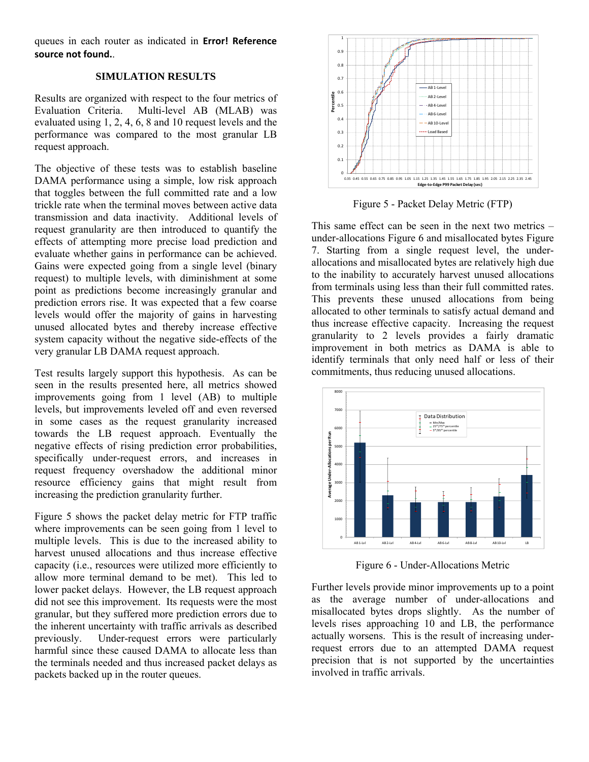queues in each router as indicated in **Error! Reference source not found.**.

# **SIMULATION RESULTS**

Results are organized with respect to the four metrics of Evaluation Criteria. Multi-level AB (MLAB) was evaluated using 1, 2, 4, 6, 8 and 10 request levels and the performance was compared to the most granular LB request approach.

The objective of these tests was to establish baseline DAMA performance using a simple, low risk approach that toggles between the full committed rate and a low trickle rate when the terminal moves between active data transmission and data inactivity. Additional levels of request granularity are then introduced to quantify the effects of attempting more precise load prediction and evaluate whether gains in performance can be achieved. Gains were expected going from a single level (binary request) to multiple levels, with diminishment at some point as predictions become increasingly granular and prediction errors rise. It was expected that a few coarse levels would offer the majority of gains in harvesting unused allocated bytes and thereby increase effective system capacity without the negative side-effects of the very granular LB DAMA request approach.

Test results largely support this hypothesis. As can be seen in the results presented here, all metrics showed improvements going from 1 level (AB) to multiple levels, but improvements leveled off and even reversed in some cases as the request granularity increased towards the LB request approach. Eventually the negative effects of rising prediction error probabilities, specifically under-request errors, and increases in request frequency overshadow the additional minor resource efficiency gains that might result from increasing the prediction granularity further.

Figure 5 shows the packet delay metric for FTP traffic where improvements can be seen going from 1 level to multiple levels. This is due to the increased ability to harvest unused allocations and thus increase effective capacity (i.e., resources were utilized more efficiently to allow more terminal demand to be met). This led to lower packet delays. However, the LB request approach did not see this improvement. Its requests were the most granular, but they suffered more prediction errors due to the inherent uncertainty with traffic arrivals as described previously. Under-request errors were particularly harmful since these caused DAMA to allocate less than the terminals needed and thus increased packet delays as packets backed up in the router queues.



Figure 5 - Packet Delay Metric (FTP)

This same effect can be seen in the next two metrics – under-allocations Figure 6 and misallocated bytes Figure 7. Starting from a single request level, the underallocations and misallocated bytes are relatively high due to the inability to accurately harvest unused allocations from terminals using less than their full committed rates. This prevents these unused allocations from being allocated to other terminals to satisfy actual demand and thus increase effective capacity. Increasing the request granularity to 2 levels provides a fairly dramatic improvement in both metrics as DAMA is able to identify terminals that only need half or less of their commitments, thus reducing unused allocations.



Figure 6 - Under-Allocations Metric

Further levels provide minor improvements up to a point as the average number of under-allocations and misallocated bytes drops slightly. As the number of levels rises approaching 10 and LB, the performance actually worsens. This is the result of increasing underrequest errors due to an attempted DAMA request precision that is not supported by the uncertainties involved in traffic arrivals.